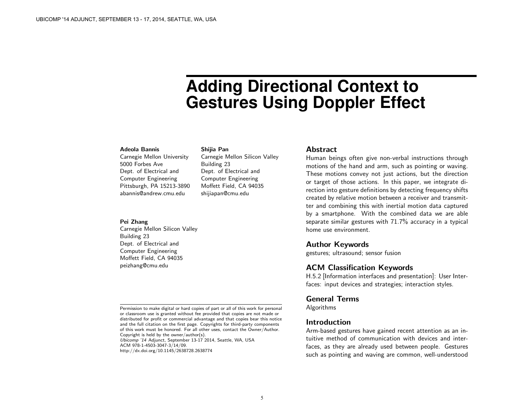# **Adding Directional Context to Gestures Using Doppler Effect**

#### Adeola Bannis

| Carnegie Mellon University |  |  |  |  |  |  |
|----------------------------|--|--|--|--|--|--|
| 5000 Forbes Ave            |  |  |  |  |  |  |
| Dept. of Electrical and    |  |  |  |  |  |  |
| Computer Engineering       |  |  |  |  |  |  |
| Pittsburgh, PA 15213-3890  |  |  |  |  |  |  |
| abannis@andrew.cmu.edu     |  |  |  |  |  |  |

#### Pei Zhang

Carnegie Mellon Silicon Valley Building 23 Dept. of Electrical and Computer Engineering Moffett Field, CA 94035 peizhang@cmu.edu

Shijia Pan

Building 23

Carnegie Mellon Silicon Valley

Dept. of Electrical and Computer Engineering Moffett Field, CA 94035 shijiapan@cmu.edu

Ubicomp '14 Adjunct, September 13-17 2014, Seattle, WA, USA ACM 978-1-4503-3047-3/14/09. http://dx.doi.org/10.1145/2638728.2638774

#### Abstract

Human beings often give non-verbal instructions through motions of the hand and arm, such as pointing or waving. These motions convey not just actions, but the direction or target of those actions. In this paper, we integrate direction into gesture definitions by detecting frequency shifts created by relative motion between a receiver and transmitter and combining this with inertial motion data captured by a smartphone. With the combined data we are able separate similar gestures with 71.7% accuracy in a typical home use environment.

### Author Keywords

gestures; ultrasound; sensor fusion

## ACM Classification Keywords

H.5.2 [Information interfaces and presentation]: User Interfaces: input devices and strategies; interaction styles.

## General Terms

Algorithms

## Introduction

Arm-based gestures have gained recent attention as an intuitive method of communication with devices and interfaces, as they are already used between people. Gestures such as pointing and waving are common, well-understood

Permission to make digital or hard copies of part or all of this work for personal or classroom use is granted without fee provided that copies are not made or distributed for profit or commercial advantage and that copies bear this notice and the full citation on the first page. Copyrights for third-party components of this work must be honored. For all other uses, contact the Owner/Author. Copyright is held by the owner/author(s).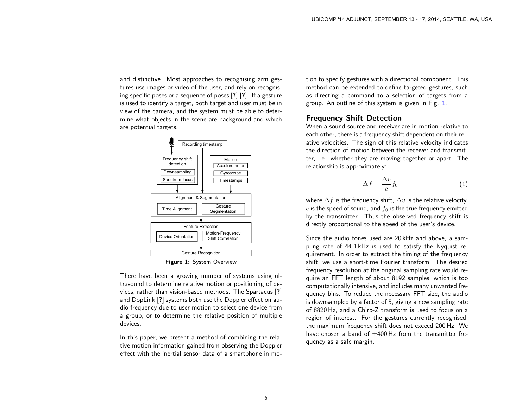and distinctive. Most approaches to recognising arm gestures use images or video of the user, and rely on recognising specific poses or a sequence of poses [?] [?]. If a gesture is used to identify a target, both target and user must be in view of the camera, and the system must be able to determine what objects in the scene are background and which are potential targets.



<span id="page-1-0"></span>Figure 1: System Overview

There have been a growing number of systems using ultrasound to determine relative motion or positioning of devices, rather than vision-based methods. The Spartacus [?] and DopLink [?] systems both use the Doppler effect on audio frequency due to user motion to select one device from a group, or to determine the relative position of multiple devices.

In this paper, we present a method of combining the relative motion information gained from observing the Doppler effect with the inertial sensor data of a smartphone in motion to specify gestures with a directional component. This method can be extended to define targeted gestures, such as directing a command to a selection of targets from a group. An outline of this system is given in Fig. [1.](#page-1-0)

# Frequency Shift Detection

When a sound source and receiver are in motion relative to each other, there is a frequency shift dependent on their relative velocities. The sign of this relative velocity indicates the direction of motion between the receiver and transmitter, i.e. whether they are moving together or apart. The relationship is approximately:

$$
\Delta f = \frac{\Delta v}{c} f_0 \tag{1}
$$

where  $\Delta f$  is the frequency shift,  $\Delta v$  is the relative velocity, c is the speed of sound, and  $f_0$  is the true frequency emitted by the transmitter. Thus the observed frequency shift is directly proportional to the speed of the user's device.

Since the audio tones used are 20 kHz and above, a sampling rate of 44.1 kHz is used to satisfy the Nyquist requirement. In order to extract the timing of the frequency shift, we use a short-time Fourier transform. The desired frequency resolution at the original sampling rate would require an FFT length of about 8192 samples, which is too computationally intensive, and includes many unwanted frequency bins. To reduce the necessary FFT size, the audio is downsampled by a factor of 5, giving a new sampling rate of 8820 Hz, and a Chirp-Z transform is used to focus on a region of interest. For the gestures currently recognised, the maximum frequency shift does not exceed 200 Hz. We have chosen a band of  $\pm 400$  Hz from the transmitter frequency as a safe margin.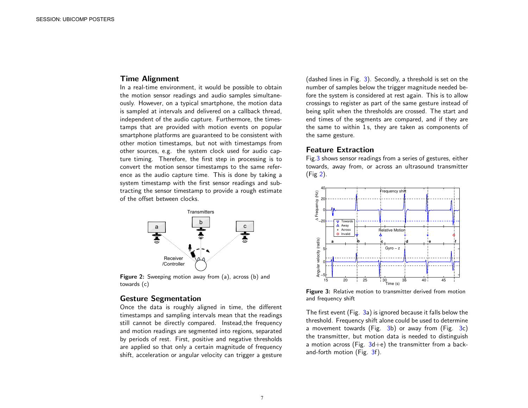## Time Alignment

In a real-time environment, it would be possible to obtain the motion sensor readings and audio samples simultaneously. However, on a typical smartphone, the motion data is sampled at intervals and delivered on a callback thread, independent of the audio capture. Furthermore, the timestamps that are provided with motion events on popular smartphone platforms are guaranteed to be consistent with other motion timestamps, but not with timestamps from other sources, e.g. the system clock used for audio capture timing. Therefore, the first step in processing is to convert the motion sensor timestamps to the same reference as the audio capture time. This is done by taking a system timestamp with the first sensor readings and subtracting the sensor timestamp to provide a rough estimate of the offset between clocks.



<span id="page-2-1"></span>Figure 2: Sweeping motion away from (a), across (b) and towards (c)

# Gesture Segmentation

Once the data is roughly aligned in time, the different timestamps and sampling intervals mean that the readings still cannot be directly compared. Instead,the frequency and motion readings are segmented into regions, separated by periods of rest. First, positive and negative thresholds are applied so that only a certain magnitude of frequency shift, acceleration or angular velocity can trigger a gesture

(dashed lines in Fig. [3\)](#page-2-0). Secondly, a threshold is set on the number of samples below the trigger magnitude needed before the system is considered at rest again. This is to allow crossings to register as part of the same gesture instead of being split when the thresholds are crossed. The start and end times of the segments are compared, and if they are the same to within 1 s, they are taken as components of the same gesture.

### Feature Extraction

Fig[.3](#page-2-0) shows sensor readings from a series of gestures, either towards, away from, or across an ultrasound transmitter (Fig [2\)](#page-2-1).



<span id="page-2-0"></span>Figure 3: Relative motion to transmitter derived from motion and frequency shift

The first event (Fig. [3a](#page-2-0)) is ignored because it falls below the threshold. Frequency shift alone could be used to determine a movement towards (Fig.  $3b$ ) or away from (Fig.  $3c$ ) the transmitter, but motion data is needed to distinguish a motion across (Fig.  $3d+e$  $3d+e$ ) the transmitter from a backand-forth motion (Fig. [3f](#page-2-0)).